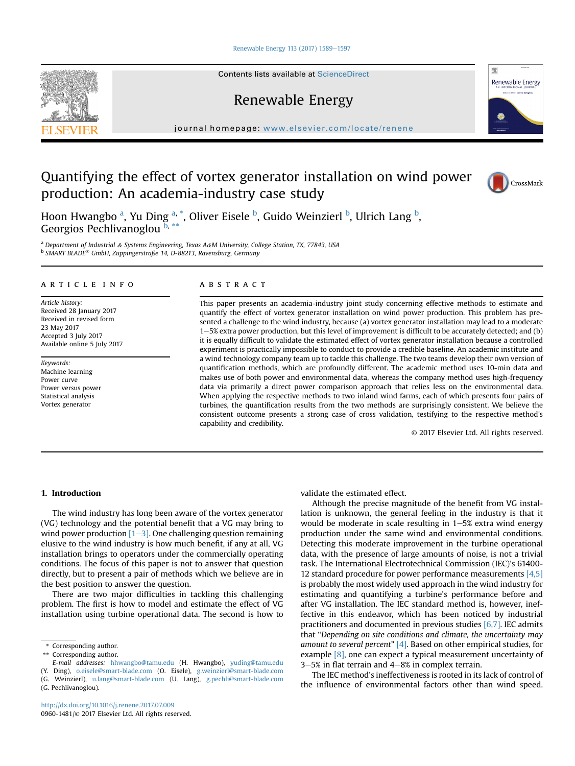#### [Renewable Energy 113 \(2017\) 1589](http://dx.doi.org/10.1016/j.renene.2017.07.009)-[1597](http://dx.doi.org/10.1016/j.renene.2017.07.009)

Contents lists available at ScienceDirect

Renewable Energy

journal homepage: [www.elsevier.com/locate/renene](http://www.elsevier.com/locate/renene)

# Quantifying the effect of vortex generator installation on wind power production: An academia-industry case study



Renewable Energy

理

Hoon Hwangbo <sup>a</sup>, Yu Ding <sup>a, \*</sup>, Oliver Eisele <sup>b</sup>, Guido Weinzierl <sup>b</sup>, Ulrich Lang <sup>b</sup>, Georgios Pechlivanoglou  $\overline{b}$ ,

<sup>a</sup> Department of Industrial & Systems Engineering, Texas A&M University, College Station, TX, 77843, USA <sup>b</sup> SMART BLADE® GmbH, Zuppingerstraße 14, D-88213, Ravensburg, Germany

# article info

Article history: Received 28 January 2017 Received in revised form 23 May 2017 Accepted 3 July 2017 Available online 5 July 2017

Keywords: Machine learning Power curve Power versus power Statistical analysis Vortex generator

### **ABSTRACT**

This paper presents an academia-industry joint study concerning effective methods to estimate and quantify the effect of vortex generator installation on wind power production. This problem has presented a challenge to the wind industry, because (a) vortex generator installation may lead to a moderate 1-5% extra power production, but this level of improvement is difficult to be accurately detected; and (b) it is equally difficult to validate the estimated effect of vortex generator installation because a controlled experiment is practically impossible to conduct to provide a credible baseline. An academic institute and a wind technology company team up to tackle this challenge. The two teams develop their own version of quantification methods, which are profoundly different. The academic method uses 10-min data and makes use of both power and environmental data, whereas the company method uses high-frequency data via primarily a direct power comparison approach that relies less on the environmental data. When applying the respective methods to two inland wind farms, each of which presents four pairs of turbines, the quantification results from the two methods are surprisingly consistent. We believe the consistent outcome presents a strong case of cross validation, testifying to the respective method's capability and credibility.

© 2017 Elsevier Ltd. All rights reserved.

# 1. Introduction

The wind industry has long been aware of the vortex generator (VG) technology and the potential benefit that a VG may bring to wind power production  $[1-3]$  $[1-3]$  $[1-3]$ . One challenging question remaining elusive to the wind industry is how much benefit, if any at all, VG installation brings to operators under the commercially operating conditions. The focus of this paper is not to answer that question directly, but to present a pair of methods which we believe are in the best position to answer the question.

There are two major difficulties in tackling this challenging problem. The first is how to model and estimate the effect of VG installation using turbine operational data. The second is how to

- E-mail addresses: [hhwangbo@tamu.edu](mailto:hhwangbo@tamu.edu) (H. Hwangbo), [yuding@tamu.edu](mailto:yuding@tamu.edu)
- (Y. Ding), [o.eisele@smart-blade.com](mailto:o.eisele@smart-blade.com) (O. Eisele), [g.weinzierl@smart-blade.com](mailto:g.weinzierl@smart-blade.com)

(G. Weinzierl), [u.lang@smart-blade.com](mailto:u.lang@smart-blade.com) (U. Lang), [g.pechli@smart-blade.com](mailto:g.pechli@smart-blade.com) (G. Pechlivanoglou).

validate the estimated effect.

Although the precise magnitude of the benefit from VG installation is unknown, the general feeling in the industry is that it would be moderate in scale resulting in  $1-5%$  extra wind energy production under the same wind and environmental conditions. Detecting this moderate improvement in the turbine operational data, with the presence of large amounts of noise, is not a trivial task. The International Electrotechnical Commission (IEC)'s 61400- 12 standard procedure for power performance measurements  $[4,5]$ is probably the most widely used approach in the wind industry for estimating and quantifying a turbine's performance before and after VG installation. The IEC standard method is, however, ineffective in this endeavor, which has been noticed by industrial practitioners and documented in previous studies [\[6,7\]](#page-7-0). IEC admits that "Depending on site conditions and climate, the uncertainty may amount to several percent"  $[4]$ . Based on other empirical studies, for example  $[8]$ , one can expect a typical measurement uncertainty of  $3-5%$  in flat terrain and  $4-8%$  in complex terrain.

The IEC method's ineffectiveness is rooted in its lack of control of the influence of environmental factors other than wind speed.

<span id="page-0-0"></span>

<sup>\*</sup> Corresponding author.

Corresponding author.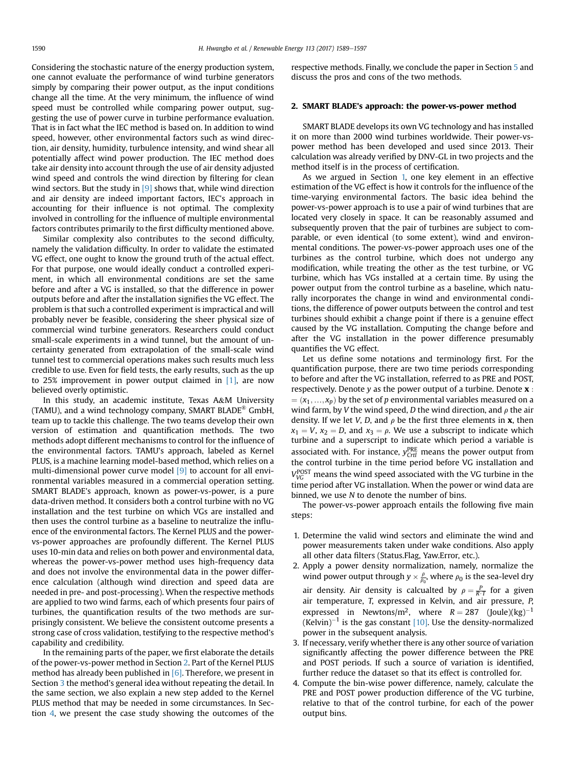Considering the stochastic nature of the energy production system, one cannot evaluate the performance of wind turbine generators simply by comparing their power output, as the input conditions change all the time. At the very minimum, the influence of wind speed must be controlled while comparing power output, suggesting the use of power curve in turbine performance evaluation. That is in fact what the IEC method is based on. In addition to wind speed, however, other environmental factors such as wind direction, air density, humidity, turbulence intensity, and wind shear all potentially affect wind power production. The IEC method does take air density into account through the use of air density adjusted wind speed and controls the wind direction by filtering for clean wind sectors. But the study in  $[9]$  shows that, while wind direction and air density are indeed important factors, IEC's approach in accounting for their influence is not optimal. The complexity involved in controlling for the influence of multiple environmental factors contributes primarily to the first difficulty mentioned above.

Similar complexity also contributes to the second difficulty, namely the validation difficulty. In order to validate the estimated VG effect, one ought to know the ground truth of the actual effect. For that purpose, one would ideally conduct a controlled experiment, in which all environmental conditions are set the same before and after a VG is installed, so that the difference in power outputs before and after the installation signifies the VG effect. The problem is that such a controlled experiment is impractical and will probably never be feasible, considering the sheer physical size of commercial wind turbine generators. Researchers could conduct small-scale experiments in a wind tunnel, but the amount of uncertainty generated from extrapolation of the small-scale wind tunnel test to commercial operations makes such results much less credible to use. Even for field tests, the early results, such as the up to 25% improvement in power output claimed in  $[1]$ , are now believed overly optimistic.

In this study, an academic institute, Texas A&M University (TAMU), and a wind technology company, SMART BLADE® GmbH, team up to tackle this challenge. The two teams develop their own version of estimation and quantification methods. The two methods adopt different mechanisms to control for the influence of the environmental factors. TAMU's approach, labeled as Kernel PLUS, is a machine learning model-based method, which relies on a multi-dimensional power curve model <a>[\[9\]](#page-7-0)</a> to account for all environmental variables measured in a commercial operation setting. SMART BLADE's approach, known as power-vs-power, is a pure data-driven method. It considers both a control turbine with no VG installation and the test turbine on which VGs are installed and then uses the control turbine as a baseline to neutralize the influence of the environmental factors. The Kernel PLUS and the powervs-power approaches are profoundly different. The Kernel PLUS uses 10-min data and relies on both power and environmental data, whereas the power-vs-power method uses high-frequency data and does not involve the environmental data in the power difference calculation (although wind direction and speed data are needed in pre- and post-processing). When the respective methods are applied to two wind farms, each of which presents four pairs of turbines, the quantification results of the two methods are surprisingly consistent. We believe the consistent outcome presents a strong case of cross validation, testifying to the respective method's capability and credibility.

In the remaining parts of the paper, we first elaborate the details of the power-vs-power method in Section 2. Part of the Kernel PLUS method has already been published in  $[6]$ . Therefore, we present in Section [3](#page-3-0) the method's general idea without repeating the detail. In the same section, we also explain a new step added to the Kernel PLUS method that may be needed in some circumstances. In Section [4](#page-5-0), we present the case study showing the outcomes of the

respective methods. Finally, we conclude the paper in Section [5](#page-5-0) and discuss the pros and cons of the two methods.

# 2. SMART BLADE's approach: the power-vs-power method

SMART BLADE develops its own VG technology and has installed it on more than 2000 wind turbines worldwide. Their power-vspower method has been developed and used since 2013. Their calculation was already verified by DNV-GL in two projects and the method itself is in the process of certification.

As we argued in Section [1,](#page-0-0) one key element in an effective estimation of the VG effect is how it controls for the influence of the time-varying environmental factors. The basic idea behind the power-vs-power approach is to use a pair of wind turbines that are located very closely in space. It can be reasonably assumed and subsequently proven that the pair of turbines are subject to comparable, or even identical (to some extent), wind and environmental conditions. The power-vs-power approach uses one of the turbines as the control turbine, which does not undergo any modification, while treating the other as the test turbine, or VG turbine, which has VGs installed at a certain time. By using the power output from the control turbine as a baseline, which naturally incorporates the change in wind and environmental conditions, the difference of power outputs between the control and test turbines should exhibit a change point if there is a genuine effect caused by the VG installation. Computing the change before and after the VG installation in the power difference presumably quantifies the VG effect.

Let us define some notations and terminology first. For the quantification purpose, there are two time periods corresponding to before and after the VG installation, referred to as PRE and POST, respectively. Denote  $y$  as the power output of a turbine. Denote  $x$  :  $(x_1, ..., x_p)$  by the set of p environmental variables measured on a wind farm, by V the wind speed, D the wind direction, and  $\rho$  the air density. If we let *V*, *D*, and  $\rho$  be the first three elements in **x**, then  $x_1 = V$ ,  $x_2 = D$ , and  $x_3 = \rho$ . We use a subscript to indicate which turbine and a superscript to indicate which period a variable is associated with. For instance,  $y_{\text{Crtl}}^{\text{PRE}}$  means the power output from the control turbine in the time period before VG installation and  $V_{\text{VG}}^{\text{POST}}$  means the wind speed associated with the VG turbine in the time period after VG installation. When the power or wind data are binned, we use N to denote the number of bins.

The power-vs-power approach entails the following five main steps:

- 1. Determine the valid wind sectors and eliminate the wind and power measurements taken under wake conditions. Also apply all other data filters (Status.Flag, Yaw.Error, etc.).
- 2. Apply a power density normalization, namely, normalize the wind power output through  $y \times \frac{\rho}{\rho_0}$ , where  $\rho_0$  is the sea-level dry air density. Air density is calcualted by  $\rho = \frac{P}{R \cdot T}$  for a given<br>air temperature  $T$  expressed in Kelvin, and air pressure. B air temperature, T, expressed in Kelvin, and air pressure, P, expressed in Newtons/m<sup>2</sup>, where  $R = 287$  (Joule)(kg)<sup>-1</sup>  $(Kelvin)^{-1}$  is the gas constant [\[10\].](#page-7-0) Use the density-normalized power in the subsequent analysis.
- 3. If necessary, verify whether there is any other source of variation significantly affecting the power difference between the PRE and POST periods. If such a source of variation is identified, further reduce the dataset so that its effect is controlled for.
- 4. Compute the bin-wise power difference, namely, calculate the PRE and POST power production difference of the VG turbine, relative to that of the control turbine, for each of the power output bins.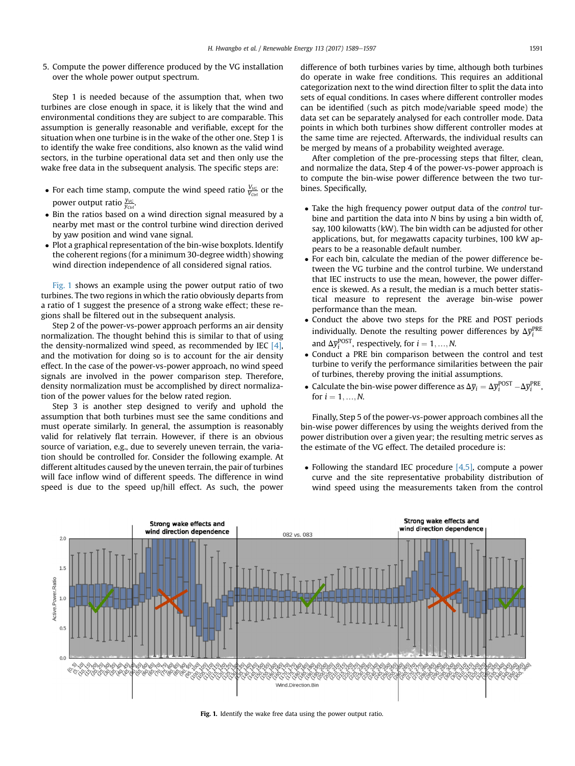5. Compute the power difference produced by the VG installation over the whole power output spectrum.

Step 1 is needed because of the assumption that, when two turbines are close enough in space, it is likely that the wind and environmental conditions they are subject to are comparable. This assumption is generally reasonable and verifiable, except for the situation when one turbine is in the wake of the other one. Step 1 is to identify the wake free conditions, also known as the valid wind sectors, in the turbine operational data set and then only use the wake free data in the subsequent analysis. The specific steps are:

- For each time stamp, compute the wind speed ratio  $\frac{V_{VC}}{V_{Ctri}}$  or the power output ratio  $\frac{y_{\rm VC}}{y_{\rm Ctri}}$ .
- Bin the ratios based on a wind direction signal measured by a nearby met mast or the control turbine wind direction derived by yaw position and wind vane signal.
- Plot a graphical representation of the bin-wise boxplots. Identify the coherent regions (for a minimum 30-degree width) showing wind direction independence of all considered signal ratios.

Fig. 1 shows an example using the power output ratio of two turbines. The two regions in which the ratio obviously departs from a ratio of 1 suggest the presence of a strong wake effect; these regions shall be filtered out in the subsequent analysis.

Step 2 of the power-vs-power approach performs an air density normalization. The thought behind this is similar to that of using the density-normalized wind speed, as recommended by IEC  $[4]$ , and the motivation for doing so is to account for the air density effect. In the case of the power-vs-power approach, no wind speed signals are involved in the power comparison step. Therefore, density normalization must be accomplished by direct normalization of the power values for the below rated region.

Step 3 is another step designed to verify and uphold the assumption that both turbines must see the same conditions and must operate similarly. In general, the assumption is reasonably valid for relatively flat terrain. However, if there is an obvious source of variation, e.g., due to severely uneven terrain, the variation should be controlled for. Consider the following example. At different altitudes caused by the uneven terrain, the pair of turbines will face inflow wind of different speeds. The difference in wind speed is due to the speed up/hill effect. As such, the power difference of both turbines varies by time, although both turbines do operate in wake free conditions. This requires an additional categorization next to the wind direction filter to split the data into sets of equal conditions. In cases where different controller modes can be identified (such as pitch mode/variable speed mode) the data set can be separately analysed for each controller mode. Data points in which both turbines show different controller modes at the same time are rejected. Afterwards, the individual results can be merged by means of a probability weighted average.

After completion of the pre-processing steps that filter, clean, and normalize the data, Step 4 of the power-vs-power approach is to compute the bin-wise power difference between the two turbines. Specifically,

- Take the high frequency power output data of the *control* turbine and partition the data into N bins by using a bin width of, say, 100 kilowatts (kW). The bin width can be adjusted for other applications, but, for megawatts capacity turbines, 100 kW appears to be a reasonable default number.
- For each bin, calculate the median of the power difference between the VG turbine and the control turbine. We understand that IEC instructs to use the mean, however, the power difference is skewed. As a result, the median is a much better statistical measure to represent the average bin-wise power performance than the mean.
- Conduct the above two steps for the PRE and POST periods individually. Denote the resulting power differences by  $\Delta \bar{y}_i^{\text{PRE}}$ and  $\Delta \bar{y}_i^{POST}$ , respectively, for  $i = 1, ..., N$ .<br>Conduct a PPE bin comparison between
- Conduct a PRE bin comparison between the control and test turbine to verify the performance similarities between the pair of turbines, thereby proving the initial assumptions.
- Calculate the bin-wise power difference as  $\Delta \bar{y}_i = \Delta \bar{y}_i^{POST} \Delta \bar{y}_i^{PRE}$ , for  $i = 1, N$ for  $i = 1, ..., N$ .

Finally, Step 5 of the power-vs-power approach combines all the bin-wise power differences by using the weights derived from the power distribution over a given year; the resulting metric serves as the estimate of the VG effect. The detailed procedure is:

• Following the standard IEC procedure  $[4,5]$ , compute a power curve and the site representative probability distribution of wind speed using the measurements taken from the control



Fig. 1. Identify the wake free data using the power output ratio.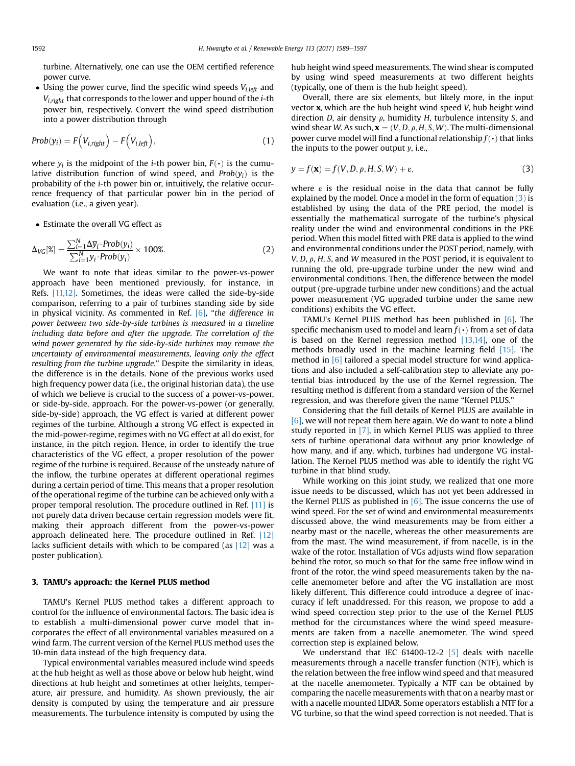<span id="page-3-0"></span>turbine. Alternatively, one can use the OEM certified reference power curve.

• Using the power curve, find the specific wind speeds  $V_{i, left}$  and  $V_{i, right}$  that corresponds to the lower and upper bound of the *i*-th power bin, respectively. Convert the wind speed distribution into a power distribution through

$$
Prob(y_i) = F\Big(V_{i, right}\Big) - F\Big(V_{i, left}\Big),\tag{1}
$$

where  $y_i$  is the midpoint of the *i*-th power bin,  $F(\cdot)$  is the cumulative distribution function of wind speed, and  $Prob(y_i)$  is the probability of the i-th power bin or, intuitively, the relative occurrence frequency of that particular power bin in the period of evaluation (i.e., a given year).

Estimate the overall VG effect as

$$
\Delta_{VG}[\%] = \frac{\sum_{i=1}^{N} \Delta \overline{y}_i \cdot Prob(y_i)}{\sum_{i=1}^{N} y_i \cdot Prob(y_i)} \times 100\%.
$$
 (2)

We want to note that ideas similar to the power-vs-power approach have been mentioned previously, for instance, in Refs. [\[11,12\].](#page-7-0) Sometimes, the ideas were called the side-by-side comparison, referring to a pair of turbines standing side by side in physical vicinity. As commented in Ref. [\[6\]](#page-7-0), "the difference in power between two side-by-side turbines is measured in a timeline including data before and after the upgrade. The correlation of the wind power generated by the side-by-side turbines may remove the uncertainty of environmental measurements, leaving only the effect resulting from the turbine upgrade." Despite the similarity in ideas, the difference is in the details. None of the previous works used high frequency power data (i.e., the original historian data), the use of which we believe is crucial to the success of a power-vs-power, or side-by-side, approach. For the power-vs-power (or generally, side-by-side) approach, the VG effect is varied at different power regimes of the turbine. Although a strong VG effect is expected in the mid-power-regime, regimes with no VG effect at all do exist, for instance, in the pitch region. Hence, in order to identify the true characteristics of the VG effect, a proper resolution of the power regime of the turbine is required. Because of the unsteady nature of the inflow, the turbine operates at different operational regimes during a certain period of time. This means that a proper resolution of the operational regime of the turbine can be achieved only with a proper temporal resolution. The procedure outlined in Ref. [\[11\]](#page-7-0) is not purely data driven because certain regression models were fit, making their approach different from the power-vs-power approach delineated here. The procedure outlined in Ref. [\[12\]](#page-7-0) lacks sufficient details with which to be compared (as [\[12\]](#page-7-0) was a poster publication).

## 3. TAMU's approach: the Kernel PLUS method

TAMU's Kernel PLUS method takes a different approach to control for the influence of environmental factors. The basic idea is to establish a multi-dimensional power curve model that incorporates the effect of all environmental variables measured on a wind farm. The current version of the Kernel PLUS method uses the 10-min data instead of the high frequency data.

Typical environmental variables measured include wind speeds at the hub height as well as those above or below hub height, wind directions at hub height and sometimes at other heights, temperature, air pressure, and humidity. As shown previously, the air density is computed by using the temperature and air pressure measurements. The turbulence intensity is computed by using the hub height wind speed measurements. The wind shear is computed by using wind speed measurements at two different heights (typically, one of them is the hub height speed).

Overall, there are six elements, but likely more, in the input vector  $x$ , which are the hub height wind speed  $V$ , hub height wind direction D, air density  $\rho$ , humidity H, turbulence intensity S, and wind shear W. As such,  $\mathbf{x} = (V, D, \rho, H, S, W)$ . The multi-dimensional power curve model will find a functional relationship  $f(\cdot)$  that links the inputs to the power output  $v$ , i.e.,

$$
y = f(\mathbf{x}) = f(V, D, \rho, H, S, W) + \varepsilon,
$$
\n(3)

where  $\epsilon$  is the residual noise in the data that cannot be fully explained by the model. Once a model in the form of equation  $(3)$  is established by using the data of the PRE period, the model is essentially the mathematical surrogate of the turbine's physical reality under the wind and environmental conditions in the PRE period. When this model fitted with PRE data is applied to the wind and environmental conditions under the POST period, namely, with  $V, D, \rho, H, S$ , and W measured in the POST period, it is equivalent to running the old, pre-upgrade turbine under the new wind and environmental conditions. Then, the difference between the model output (pre-upgrade turbine under new conditions) and the actual power measurement (VG upgraded turbine under the same new conditions) exhibits the VG effect.

TAMU's Kernel PLUS method has been published in [\[6\]](#page-7-0). The specific mechanism used to model and learn  $f(\cdot)$  from a set of data is based on the Kernel regression method [\[13,14\]](#page-8-0), one of the methods broadly used in the machine learning field [\[15\].](#page-8-0) The method in [\[6\]](#page-7-0) tailored a special model structure for wind applications and also included a self-calibration step to alleviate any potential bias introduced by the use of the Kernel regression. The resulting method is different from a standard version of the Kernel regression, and was therefore given the name "Kernel PLUS."

Considering that the full details of Kernel PLUS are available in  $[6]$ , we will not repeat them here again. We do want to note a blind study reported in [\[7\],](#page-7-0) in which Kernel PLUS was applied to three sets of turbine operational data without any prior knowledge of how many, and if any, which, turbines had undergone VG installation. The Kernel PLUS method was able to identify the right VG turbine in that blind study.

While working on this joint study, we realized that one more issue needs to be discussed, which has not yet been addressed in the Kernel PLUS as published in  $[6]$ . The issue concerns the use of wind speed. For the set of wind and environmental measurements discussed above, the wind measurements may be from either a nearby mast or the nacelle, whereas the other measurements are from the mast. The wind measurement, if from nacelle, is in the wake of the rotor. Installation of VGs adjusts wind flow separation behind the rotor, so much so that for the same free inflow wind in front of the rotor, the wind speed measurements taken by the nacelle anemometer before and after the VG installation are most likely different. This difference could introduce a degree of inaccuracy if left unaddressed. For this reason, we propose to add a wind speed correction step prior to the use of the Kernel PLUS method for the circumstances where the wind speed measurements are taken from a nacelle anemometer. The wind speed correction step is explained below.

We understand that IEC 61400-12-2 [\[5\]](#page-7-0) deals with nacelle measurements through a nacelle transfer function (NTF), which is the relation between the free inflow wind speed and that measured at the nacelle anemometer. Typically a NTF can be obtained by comparing the nacelle measurements with that on a nearby mast or with a nacelle mounted LIDAR. Some operators establish a NTF for a VG turbine, so that the wind speed correction is not needed. That is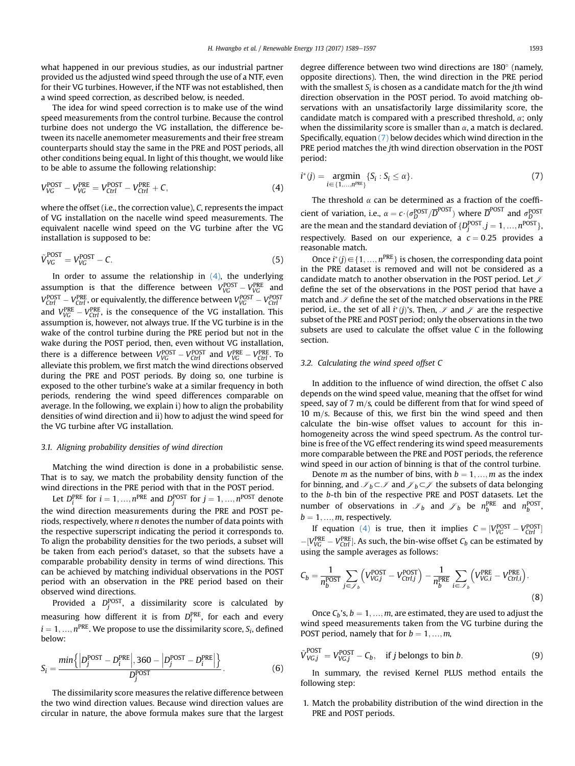<span id="page-4-0"></span>what happened in our previous studies, as our industrial partner provided us the adjusted wind speed through the use of a NTF, even for their VG turbines. However, if the NTF was not established, then a wind speed correction, as described below, is needed.

The idea for wind speed correction is to make use of the wind speed measurements from the control turbine. Because the control turbine does not undergo the VG installation, the difference between its nacelle anemometer measurements and their free stream counterparts should stay the same in the PRE and POST periods, all other conditions being equal. In light of this thought, we would like to be able to assume the following relationship:

$$
V_{VG}^{POST} - V_{VG}^{PRE} = V_{Ctrl}^{POST} - V_{Ctrl}^{PRE} + C,
$$
\n(4)

where the offset (i.e., the correction value), C, represents the impact of VG installation on the nacelle wind speed measurements. The equivalent nacelle wind speed on the VG turbine after the VG installation is supposed to be:

$$
\tilde{V}_{VG}^{\text{POST}} = V_{VG}^{\text{POST}} - C. \tag{5}
$$

In order to assume the relationship in  $(4)$ , the underlying assumption is that the difference between  $V_{VG}^{\text{POST}} - V_{VG}^{\text{PRE}}$  and  $V_{VG}^{\text{POST}}$  and  $V_{VG}^{\text{POST}}$  and  $V_{VG}^{\text{POST}}$  $V_{CUT}^{\text{POST}} - V_{CUT}^{\text{PRE}}$ , or equivalently, the difference between  $V_{VG}^{\text{POST}} - V_{CUT}^{\text{POST}}$ <br>and  $V_{VG}^{\text{PRE}} - V_{CUT}^{\text{PRE}}$ , is the consequence of the VG installation. This assumption is, however, not always true. If the VG turbine is in the wake of the control turbine during the PRE period but not in the wake during the POST period, then, even without VG installation, there is a difference between  $V_{VC}^{\text{POST}} - V_{CUT}^{\text{POST}}$  and  $V_{VC}^{\text{PRE}} - V_{CUT}^{\text{PRE}}$ . To<br>allowiate this problem we first match the wind directions observed alleviate this problem, we first match the wind directions observed during the PRE and POST periods. By doing so, one turbine is exposed to the other turbine's wake at a similar frequency in both periods, rendering the wind speed differences comparable on average. In the following, we explain i) how to align the probability densities of wind direction and ii) how to adjust the wind speed for the VG turbine after VG installation.

#### 3.1. Aligning probability densities of wind direction

Matching the wind direction is done in a probabilistic sense. That is to say, we match the probability density function of the wind directions in the PRE period with that in the POST period.

Let  $D_i^{PRE}$  for  $i = 1, ..., n^{PRE}$  and  $D_j^{POST}$  for  $j = 1, ..., n^{POST}$  denote the wind direction measurements during the PRE and POST periods, respectively, where  $n$  denotes the number of data points with the respective superscript indicating the period it corresponds to. To align the probability densities for the two periods, a subset will be taken from each period's dataset, so that the subsets have a comparable probability density in terms of wind directions. This can be achieved by matching individual observations in the POST period with an observation in the PRE period based on their observed wind directions.

Provided a  $D_j^{\rm POST}$ , a dissimilarity score is calculated by measuring how different it is from  $D_i^{\text{PRE}}$ , for each and every  $i = 1, ..., n^{\text{PRE}}$ . We propose to use the dissimilarity score,  $S_i$ , defined below:

$$
S_i = \frac{\min\left\{ \left| D_j^{\text{POST}} - D_i^{\text{PRE}} \right|, 360 - \left| D_j^{\text{POST}} - D_i^{\text{PRE}} \right| \right\}}{D_j^{\text{POST}}}.
$$
(6)

The dissimilarity score measures the relative difference between the two wind direction values. Because wind direction values are circular in nature, the above formula makes sure that the largest degree difference between two wind directions are  $180^\circ$  (namely, opposite directions). Then, the wind direction in the PRE period with the smallest  $S_i$  is chosen as a candidate match for the jth wind direction observation in the POST period. To avoid matching observations with an unsatisfactorily large dissimilarity score, the candidate match is compared with a prescribed threshold,  $\alpha$ ; only when the dissimilarity score is smaller than  $\alpha$ , a match is declared. Specifically, equation (7) below decides which wind direction in the PRE period matches the jth wind direction observation in the POST period:

$$
i^*(j) = \underset{i \in \{1,\ldots,n^{pre}\}}{\operatorname{argmin}} \{S_i : S_i \le \alpha\}. \tag{7}
$$

The threshold  $\alpha$  can be determined as a fraction of the coefficient of variation, i.e.,  $\alpha = c \cdot (\sigma_D^{POST}/\overline{D}^{POST})$  where  $\overline{D}^{POST}$  and  $\sigma_D^{POST}$  are the mean and the standard deviation of  $\{D_j^{POST}, j = 1, ..., n^{POST}\}$ respectively. Based on our experience, a  $c = 0.25$  provides a reasonable match.

Once  $i^*(j) \in \{1, ..., n^{PRE}\}\$  is chosen, the corresponding data point the PRE dataset is removed and will not be considered as a in the PRE dataset is removed and will not be considered as a candidate match to another observation in the POST period. Let  $\mathcal I$ define the set of the observations in the POST period that have a match and  $\mathcal I$  define the set of the matched observations in the PRE period, i.e., the set of all  $i^*(j)$ 's. Then,  $\mathscr I$  and  $\mathscr J$  are the respective<br>subset of the PRE and POST period: only the observations in the two subset of the PRE and POST period; only the observations in the two subsets are used to calculate the offset value C in the following section.

# 3.2. Calculating the wind speed offset C

In addition to the influence of wind direction, the offset C also depends on the wind speed value, meaning that the offset for wind speed, say of 7 m/s, could be different from that for wind speed of 10 m/s. Because of this, we first bin the wind speed and then calculate the bin-wise offset values to account for this inhomogeneity across the wind speed spectrum. As the control turbine is free of the VG effect rendering its wind speed measurements more comparable between the PRE and POST periods, the reference wind speed in our action of binning is that of the control turbine.

Denote *m* as the number of bins, with  $b = 1, ..., m$  as the index for binning, and  $\mathcal{J}_b \subset \mathcal{J}$  and  $\mathcal{J}_b \subset \mathcal{J}$  the subsets of data belonging to the b-th bin of the respective PRE and POST datasets. Let the number of observations in  $\mathscr{I}_b$  and  $\mathscr{I}_b$  be  $n_b^{\text{PRE}}$  and  $n_b^{\text{POST}}$ ,  $b = 1, ..., m$ , respectively.

If equation (4) is true, then it implies  $C = [V_{VG}^{POST} - V_{Ctrl}^{POST}]$  $-[V_{\text{VG}}^{\text{PRE}} - V_{\text{Ctri}}^{\text{PRE}}]$ . As such, the bin-wise offset  $C_b$  can be estimated by using the sample averages as follows:

$$
C_b = \frac{1}{n_b^{\text{POST}}} \sum_{j \in \mathcal{J}_b} \left( V_{VG,j}^{\text{POST}} - V_{Ctrl,j}^{\text{POST}} \right) - \frac{1}{n_b^{\text{PRE}}} \sum_{i \in \mathcal{J}_b} \left( V_{VG,i}^{\text{PRE}} - V_{Ctrl,i}^{\text{PRE}} \right).
$$
\n(8)

Once  $C_b$ 's,  $b = 1, ..., m$ , are estimated, they are used to adjust the wind speed measurements taken from the VG turbine during the POST period, namely that for  $b = 1, ..., m$ ,

$$
\tilde{V}_{VG,j}^{POST} = V_{VG,j}^{POST} - C_b, \quad \text{if } j \text{ belongs to bin } b. \tag{9}
$$

In summary, the revised Kernel PLUS method entails the following step:

1. Match the probability distribution of the wind direction in the PRE and POST periods.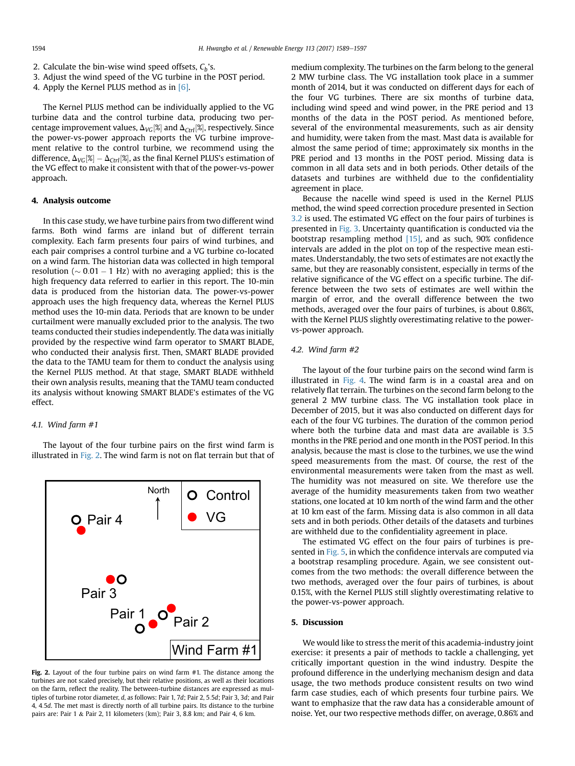- <span id="page-5-0"></span>2. Calculate the bin-wise wind speed offsets,  $C<sub>b</sub>$ 's.
- 3. Adjust the wind speed of the VG turbine in the POST period.
- 4. Apply the Kernel PLUS method as in [\[6\]](#page-7-0).

The Kernel PLUS method can be individually applied to the VG turbine data and the control turbine data, producing two percentage improvement values,  $\Delta_{VG}[\%]$  and  $\Delta_{Ctrl}[\%]$ , respectively. Since the power-vs-power approach reports the VG turbine improvement relative to the control turbine, we recommend using the difference,  $\Delta_{VG}[\%] - \Delta_{Ctrl}[\%]$ , as the final Kernel PLUS's estimation of the VG effect to make it consistent with that of the power-vs-power approach.

## 4. Analysis outcome

In this case study, we have turbine pairs from two different wind farms. Both wind farms are inland but of different terrain complexity. Each farm presents four pairs of wind turbines, and each pair comprises a control turbine and a VG turbine co-located on a wind farm. The historian data was collected in high temporal resolution ( $\sim$  0.01 – 1 Hz) with no averaging applied; this is the high frequency data referred to earlier in this report. The 10-min data is produced from the historian data. The power-vs-power approach uses the high frequency data, whereas the Kernel PLUS method uses the 10-min data. Periods that are known to be under curtailment were manually excluded prior to the analysis. The two teams conducted their studies independently. The data was initially provided by the respective wind farm operator to SMART BLADE, who conducted their analysis first. Then, SMART BLADE provided the data to the TAMU team for them to conduct the analysis using the Kernel PLUS method. At that stage, SMART BLADE withheld their own analysis results, meaning that the TAMU team conducted its analysis without knowing SMART BLADE's estimates of the VG effect.

# 4.1. Wind farm #1

The layout of the four turbine pairs on the first wind farm is illustrated in Fig. 2. The wind farm is not on flat terrain but that of



Fig. 2. Layout of the four turbine pairs on wind farm #1. The distance among the turbines are not scaled precisely, but their relative positions, as well as their locations on the farm, reflect the reality. The between-turbine distances are expressed as multiples of turbine rotor diameter, d, as follows: Pair 1, 7d; Pair 2, 5:5d; Pair 3, 3d; and Pair 4, 4:5d. The met mast is directly north of all turbine pairs. Its distance to the turbine pairs are: Pair 1 & Pair 2, 11 kilometers (km); Pair 3, 8.8 km; and Pair 4, 6 km.

medium complexity. The turbines on the farm belong to the general 2 MW turbine class. The VG installation took place in a summer month of 2014, but it was conducted on different days for each of the four VG turbines. There are six months of turbine data, including wind speed and wind power, in the PRE period and 13 months of the data in the POST period. As mentioned before, several of the environmental measurements, such as air density and humidity, were taken from the mast. Mast data is available for almost the same period of time; approximately six months in the PRE period and 13 months in the POST period. Missing data is common in all data sets and in both periods. Other details of the datasets and turbines are withheld due to the confidentiality agreement in place.

Because the nacelle wind speed is used in the Kernel PLUS method, the wind speed correction procedure presented in Section [3.2](#page-4-0) is used. The estimated VG effect on the four pairs of turbines is presented in [Fig. 3](#page-6-0). Uncertainty quantification is conducted via the bootstrap resampling method  $[15]$ , and as such, 90% confidence intervals are added in the plot on top of the respective mean estimates. Understandably, the two sets of estimates are not exactly the same, but they are reasonably consistent, especially in terms of the relative significance of the VG effect on a specific turbine. The difference between the two sets of estimates are well within the margin of error, and the overall difference between the two methods, averaged over the four pairs of turbines, is about 0.86%, with the Kernel PLUS slightly overestimating relative to the powervs-power approach.

# 4.2. Wind farm #2

The layout of the four turbine pairs on the second wind farm is illustrated in [Fig. 4](#page-6-0). The wind farm is in a coastal area and on relatively flat terrain. The turbines on the second farm belong to the general 2 MW turbine class. The VG installation took place in December of 2015, but it was also conducted on different days for each of the four VG turbines. The duration of the common period where both the turbine data and mast data are available is 3.5 months in the PRE period and one month in the POST period. In this analysis, because the mast is close to the turbines, we use the wind speed measurements from the mast. Of course, the rest of the environmental measurements were taken from the mast as well. The humidity was not measured on site. We therefore use the average of the humidity measurements taken from two weather stations, one located at 10 km north of the wind farm and the other at 10 km east of the farm. Missing data is also common in all data sets and in both periods. Other details of the datasets and turbines are withheld due to the confidentiality agreement in place.

The estimated VG effect on the four pairs of turbines is presented in [Fig. 5,](#page-6-0) in which the confidence intervals are computed via a bootstrap resampling procedure. Again, we see consistent outcomes from the two methods: the overall difference between the two methods, averaged over the four pairs of turbines, is about 0.15%, with the Kernel PLUS still slightly overestimating relative to the power-vs-power approach.

#### 5. Discussion

We would like to stress the merit of this academia-industry joint exercise: it presents a pair of methods to tackle a challenging, yet critically important question in the wind industry. Despite the profound difference in the underlying mechanism design and data usage, the two methods produce consistent results on two wind farm case studies, each of which presents four turbine pairs. We want to emphasize that the raw data has a considerable amount of noise. Yet, our two respective methods differ, on average, 0.86% and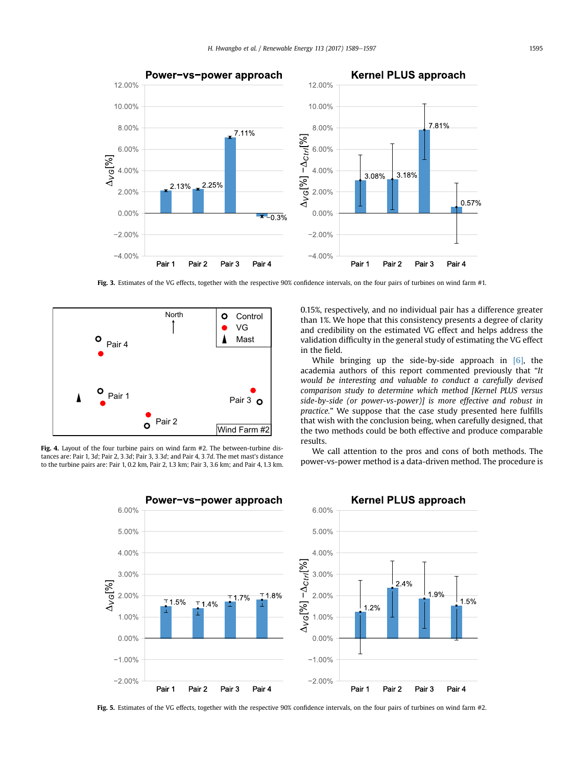<span id="page-6-0"></span>

Fig. 3. Estimates of the VG effects, together with the respective 90% confidence intervals, on the four pairs of turbines on wind farm #1.



Fig. 4. Layout of the four turbine pairs on wind farm #2. The between-turbine distances are: Pair 1, 3d; Pair 2, 3:3d; Pair 3, 3:3d; and Pair 4, 3:7d. The met mast's distance to the turbine pairs are: Pair 1, 0.2 km, Pair 2, 1.3 km; Pair 3, 3.6 km; and Pair 4, 1.3 km. 0.15%, respectively, and no individual pair has a difference greater than 1%. We hope that this consistency presents a degree of clarity and credibility on the estimated VG effect and helps address the validation difficulty in the general study of estimating the VG effect in the field.

While bringing up the side-by-side approach in  $[6]$ , the academia authors of this report commented previously that "It would be interesting and valuable to conduct a carefully devised comparison study to determine which method [Kernel PLUS versus side-by-side (or power-vs-power)] is more effective and robust in practice." We suppose that the case study presented here fulfills that wish with the conclusion being, when carefully designed, that the two methods could be both effective and produce comparable results.

We call attention to the pros and cons of both methods. The power-vs-power method is a data-driven method. The procedure is



Fig. 5. Estimates of the VG effects, together with the respective 90% confidence intervals, on the four pairs of turbines on wind farm #2.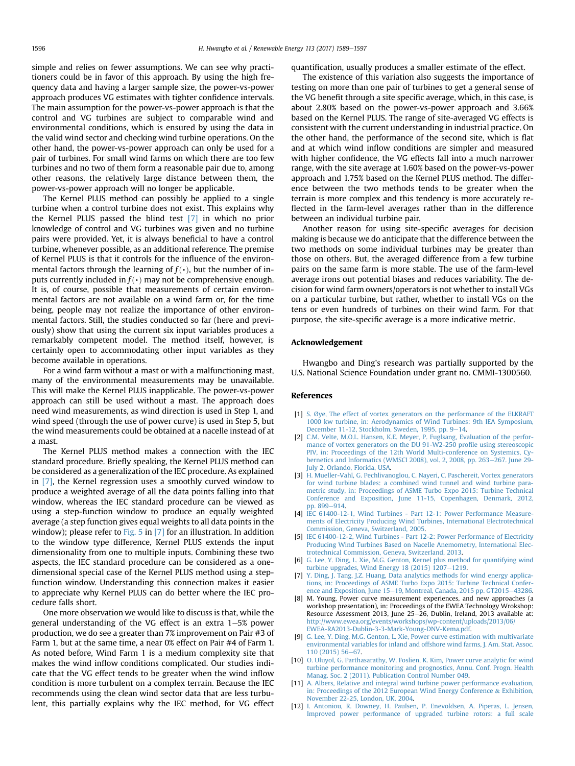<span id="page-7-0"></span>simple and relies on fewer assumptions. We can see why practitioners could be in favor of this approach. By using the high frequency data and having a larger sample size, the power-vs-power approach produces VG estimates with tighter confidence intervals. The main assumption for the power-vs-power approach is that the control and VG turbines are subject to comparable wind and environmental conditions, which is ensured by using the data in the valid wind sector and checking wind turbine operations. On the other hand, the power-vs-power approach can only be used for a pair of turbines. For small wind farms on which there are too few turbines and no two of them form a reasonable pair due to, among other reasons, the relatively large distance between them, the power-vs-power approach will no longer be applicable.

The Kernel PLUS method can possibly be applied to a single turbine when a control turbine does not exist. This explains why the Kernel PLUS passed the blind test [7] in which no prior knowledge of control and VG turbines was given and no turbine pairs were provided. Yet, it is always beneficial to have a control turbine, whenever possible, as an additional reference. The premise of Kernel PLUS is that it controls for the influence of the environmental factors through the learning of  $f(\cdot)$ , but the number of inputs currently included in  $f(\cdot)$  may not be comprehensive enough. It is, of course, possible that measurements of certain environmental factors are not available on a wind farm or, for the time being, people may not realize the importance of other environmental factors. Still, the studies conducted so far (here and previously) show that using the current six input variables produces a remarkably competent model. The method itself, however, is certainly open to accommodating other input variables as they become available in operations.

For a wind farm without a mast or with a malfunctioning mast, many of the environmental measurements may be unavailable. This will make the Kernel PLUS inapplicable. The power-vs-power approach can still be used without a mast. The approach does need wind measurements, as wind direction is used in Step 1, and wind speed (through the use of power curve) is used in Step 5, but the wind measurements could be obtained at a nacelle instead of at a mast.

The Kernel PLUS method makes a connection with the IEC standard procedure. Briefly speaking, the Kernel PLUS method can be considered as a generalization of the IEC procedure. As explained in [7], the Kernel regression uses a smoothly curved window to produce a weighted average of all the data points falling into that window, whereas the IEC standard procedure can be viewed as using a step-function window to produce an equally weighted average (a step function gives equal weights to all data points in the window); please refer to [Fig. 5](#page-6-0) in  $[7]$  for an illustration. In addition to the window type difference, Kernel PLUS extends the input dimensionality from one to multiple inputs. Combining these two aspects, the IEC standard procedure can be considered as a onedimensional special case of the Kernel PLUS method using a stepfunction window. Understanding this connection makes it easier to appreciate why Kernel PLUS can do better where the IEC procedure falls short.

One more observation we would like to discuss is that, while the general understanding of the VG effect is an extra  $1-5$ % power production, we do see a greater than 7% improvement on Pair #3 of Farm 1, but at the same time, a near 0% effect on Pair #4 of Farm 1. As noted before, Wind Farm 1 is a medium complexity site that makes the wind inflow conditions complicated. Our studies indicate that the VG effect tends to be greater when the wind inflow condition is more turbulent on a complex terrain. Because the IEC recommends using the clean wind sector data that are less turbulent, this partially explains why the IEC method, for VG effect quantification, usually produces a smaller estimate of the effect.

The existence of this variation also suggests the importance of testing on more than one pair of turbines to get a general sense of the VG benefit through a site specific average, which, in this case, is about 2.80% based on the power-vs-power approach and 3.66% based on the Kernel PLUS. The range of site-averaged VG effects is consistent with the current understanding in industrial practice. On the other hand, the performance of the second site, which is flat and at which wind inflow conditions are simpler and measured with higher confidence, the VG effects fall into a much narrower range, with the site average at 1.60% based on the power-vs-power approach and 1.75% based on the Kernel PLUS method. The difference between the two methods tends to be greater when the terrain is more complex and this tendency is more accurately reflected in the farm-level averages rather than in the difference between an individual turbine pair.

Another reason for using site-specific averages for decision making is because we do anticipate that the difference between the two methods on some individual turbines may be greater than those on others. But, the averaged difference from a few turbine pairs on the same farm is more stable. The use of the farm-level average irons out potential biases and reduces variability. The decision for wind farm owners/operators is not whether to install VGs on a particular turbine, but rather, whether to install VGs on the tens or even hundreds of turbines on their wind farm. For that purpose, the site-specific average is a more indicative metric.

#### Acknowledgement

Hwangbo and Ding's research was partially supported by the U.S. National Science Foundation under grant no. CMMI-1300560.

#### References

- [1] [S.](http://refhub.elsevier.com/S0960-1481(17)30621-3/sref1) [Øye, The effect of vortex generators on the performance of the ELKRAFT](http://refhub.elsevier.com/S0960-1481(17)30621-3/sref1) [1000 kw turbine, in: Aerodynamics of Wind Turbines: 9th IEA Symposium,](http://refhub.elsevier.com/S0960-1481(17)30621-3/sref1) [December 11-12, Stockholm, Sweden, 1995, pp. 9](http://refhub.elsevier.com/S0960-1481(17)30621-3/sref1)-[14.](http://refhub.elsevier.com/S0960-1481(17)30621-3/sref1)
- [2] [C.M. Velte, M.O.L. Hansen, K.E. Meyer, P. Fuglsang, Evaluation of the perfor](http://refhub.elsevier.com/S0960-1481(17)30621-3/sref2)[mance of vortex generators on the DU 91-W2-250 pro](http://refhub.elsevier.com/S0960-1481(17)30621-3/sref2)file using stereoscopic [PIV, in: Proceedings of the 12th World Multi-conference on Systemics, Cy](http://refhub.elsevier.com/S0960-1481(17)30621-3/sref2)[bernetics and Informatics \(WMSCI 2008\), vol. 2, 2008, pp. 263](http://refhub.elsevier.com/S0960-1481(17)30621-3/sref2) $-267$ . June 29-[July 2, Orlando, Florida, USA](http://refhub.elsevier.com/S0960-1481(17)30621-3/sref2).
- [3] [H. Mueller-Vahl, G. Pechlivanoglou, C. Nayeri, C. Paschereit, Vortex generators](http://refhub.elsevier.com/S0960-1481(17)30621-3/sref3) [for wind turbine blades: a combined wind tunnel and wind turbine para](http://refhub.elsevier.com/S0960-1481(17)30621-3/sref3)[metric study, in: Proceedings of ASME Turbo Expo 2015: Turbine Technical](http://refhub.elsevier.com/S0960-1481(17)30621-3/sref3) [Conference and Exposition, June 11-15, Copenhagen, Denmark, 2012,](http://refhub.elsevier.com/S0960-1481(17)30621-3/sref3) [pp. 899](http://refhub.elsevier.com/S0960-1481(17)30621-3/sref3)-[914](http://refhub.elsevier.com/S0960-1481(17)30621-3/sref3).
- [4] [IEC 61400-12-1, Wind Turbines Part 12-1: Power Performance Measure](http://refhub.elsevier.com/S0960-1481(17)30621-3/sref4)[ments of Electricity Producing Wind Turbines, International Electrotechnical](http://refhub.elsevier.com/S0960-1481(17)30621-3/sref4) [Commission, Geneva, Switzerland, 2005.](http://refhub.elsevier.com/S0960-1481(17)30621-3/sref4)
- [5] [IEC 61400-12-2, Wind Turbines Part 12-2: Power Performance of Electricity](http://refhub.elsevier.com/S0960-1481(17)30621-3/sref5) [Producing Wind Turbines Based on Nacelle Anemometry, International Elec](http://refhub.elsevier.com/S0960-1481(17)30621-3/sref5)[trotechnical Commission, Geneva, Switzerland, 2013](http://refhub.elsevier.com/S0960-1481(17)30621-3/sref5).
- [6] [G. Lee, Y. Ding, L. Xie, M.G. Genton, Kernel plus method for quantifying wind](http://refhub.elsevier.com/S0960-1481(17)30621-3/sref6) turbine upgrades, Wind Energy 18 (2015)  $1207-1219$  $1207-1219$ .
- [7] [Y. Ding, J. Tang, J.Z. Huang, Data analytics methods for wind energy applica](http://refhub.elsevier.com/S0960-1481(17)30621-3/sref7)[tions, in: Proceedings of ASME Turbo Expo 2015: Turbine Technical Confer](http://refhub.elsevier.com/S0960-1481(17)30621-3/sref7)[ence and Exposition, June 15](http://refhub.elsevier.com/S0960-1481(17)30621-3/sref7)-[19, Montreal, Canada, 2015 pp. GT2015](http://refhub.elsevier.com/S0960-1481(17)30621-3/sref7)-[43286](http://refhub.elsevier.com/S0960-1481(17)30621-3/sref7).
- [8] M. Young, Power curve measurement experiences, and new approaches (a workshop presentation), in: Proceedings of the EWEA Technology Wrokshop: Resource Assessment 2013, June 25-26, Dublin, Ireland, 2013 available at: [http://www.ewea.org/events/workshops/wp-content/uploads/2013/06/](http://www.ewea.org/events/workshops/wp-content/uploads/2013/06/EWEA-RA2013-Dublin-3-3-Mark-Young-DNV-Kema.pdf) [EWEA-RA2013-Dublin-3-3-Mark-Young-DNV-Kema.pdf](http://www.ewea.org/events/workshops/wp-content/uploads/2013/06/EWEA-RA2013-Dublin-3-3-Mark-Young-DNV-Kema.pdf).
- [9] [G. Lee, Y. Ding, M.G. Genton, L. Xie, Power curve estimation with multivariate](http://refhub.elsevier.com/S0960-1481(17)30621-3/sref9) [environmental variables for inland and offshore wind farms, J. Am. Stat. Assoc.](http://refhub.elsevier.com/S0960-1481(17)30621-3/sref9)  $110(2015)56 - 67$
- [10] [O. Uluyol, G. Parthasarathy, W. Foslien, K. Kim, Power curve analytic for wind](http://refhub.elsevier.com/S0960-1481(17)30621-3/sref10) [turbine performance monitoring and prognostics, Annu. Conf. Progn. Health](http://refhub.elsevier.com/S0960-1481(17)30621-3/sref10) [Manag. Soc. 2 \(2011\). Publication Control Number 049](http://refhub.elsevier.com/S0960-1481(17)30621-3/sref10).
- [11] [A. Albers, Relative and integral wind turbine power performance evaluation,](http://refhub.elsevier.com/S0960-1481(17)30621-3/sref11) [in: Proceedings of the 2012 European Wind Energy Conference](http://refhub.elsevier.com/S0960-1481(17)30621-3/sref11) & [Exhibition,](http://refhub.elsevier.com/S0960-1481(17)30621-3/sref11) [November 22-25, London, UK, 2004.](http://refhub.elsevier.com/S0960-1481(17)30621-3/sref11)
- [12] [I. Antoniou, R. Downey, H. Paulsen, P. Enevoldsen, A. Piperas, L. Jensen,](http://refhub.elsevier.com/S0960-1481(17)30621-3/sref12) [Improved power performance of upgraded turbine rotors: a full scale](http://refhub.elsevier.com/S0960-1481(17)30621-3/sref12)